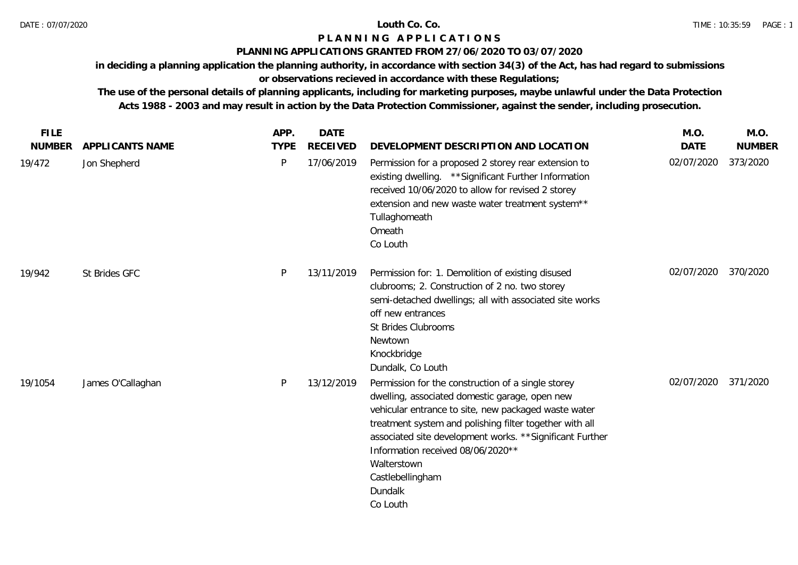### **PLANNING APPLICATIONS GRANTED FROM 27/06/2020 TO 03/07/2020**

**in deciding a planning application the planning authority, in accordance with section 34(3) of the Act, has had regard to submissions** 

## **or observations recieved in accordance with these Regulations;**

| <b>FILE</b>   |                   | APP.        | <b>DATE</b>     |                                                                                                                                                                                                                                                                                                                                                                                     | M.O.                | M.O.          |
|---------------|-------------------|-------------|-----------------|-------------------------------------------------------------------------------------------------------------------------------------------------------------------------------------------------------------------------------------------------------------------------------------------------------------------------------------------------------------------------------------|---------------------|---------------|
| <b>NUMBER</b> | APPLICANTS NAME   | <b>TYPE</b> | <b>RECEIVED</b> | DEVELOPMENT DESCRIPTION AND LOCATION                                                                                                                                                                                                                                                                                                                                                | <b>DATE</b>         | <b>NUMBER</b> |
| 19/472        | Jon Shepherd      | P           | 17/06/2019      | Permission for a proposed 2 storey rear extension to<br>existing dwelling. ** Significant Further Information<br>received 10/06/2020 to allow for revised 2 storey<br>extension and new waste water treatment system**<br>Tullaghomeath<br>Omeath<br>Co Louth                                                                                                                       | 02/07/2020          | 373/2020      |
| 19/942        | St Brides GFC     | P           | 13/11/2019      | Permission for: 1. Demolition of existing disused<br>clubrooms; 2. Construction of 2 no. two storey<br>semi-detached dwellings; all with associated site works<br>off new entrances<br>St Brides Clubrooms<br>Newtown<br>Knockbridge<br>Dundalk, Co Louth                                                                                                                           | 02/07/2020          | 370/2020      |
| 19/1054       | James O'Callaghan | P           | 13/12/2019      | Permission for the construction of a single storey<br>dwelling, associated domestic garage, open new<br>vehicular entrance to site, new packaged waste water<br>treatment system and polishing filter together with all<br>associated site development works. ** Significant Further<br>Information received 08/06/2020**<br>Walterstown<br>Castlebellingham<br>Dundalk<br>Co Louth | 02/07/2020 371/2020 |               |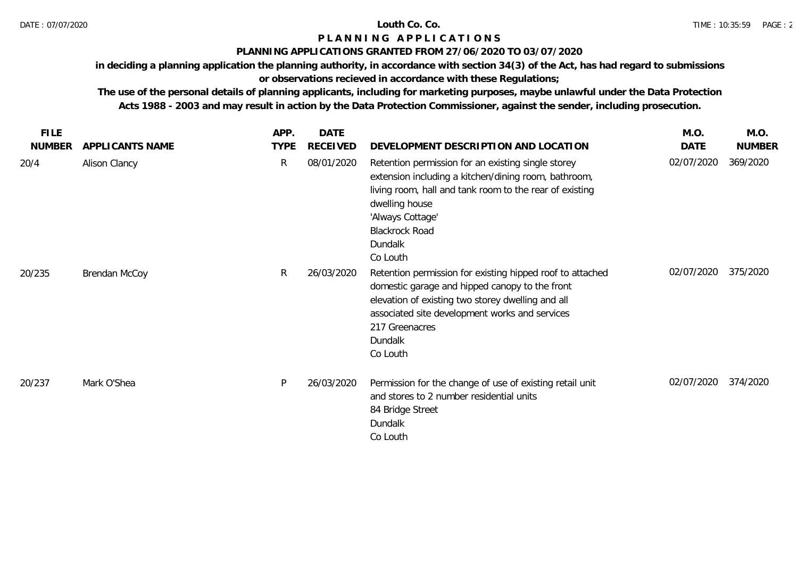### **PLANNING APPLICATIONS GRANTED FROM 27/06/2020 TO 03/07/2020**

**in deciding a planning application the planning authority, in accordance with section 34(3) of the Act, has had regard to submissions** 

## **or observations recieved in accordance with these Regulations;**

| <b>FILE</b>   |                 | APP.         | <b>DATE</b>     |                                                                                                                                                                                                                                                             | M.O.       | M.O.          |
|---------------|-----------------|--------------|-----------------|-------------------------------------------------------------------------------------------------------------------------------------------------------------------------------------------------------------------------------------------------------------|------------|---------------|
| <b>NUMBER</b> | APPLICANTS NAME | <b>TYPE</b>  | <b>RECEIVED</b> | DEVELOPMENT DESCRIPTION AND LOCATION                                                                                                                                                                                                                        | DATE       | <b>NUMBER</b> |
| 20/4          | Alison Clancy   | R            | 08/01/2020      | Retention permission for an existing single storey<br>extension including a kitchen/dining room, bathroom,<br>living room, hall and tank room to the rear of existing<br>dwelling house<br>'Always Cottage'<br><b>Blackrock Road</b><br>Dundalk<br>Co Louth | 02/07/2020 | 369/2020      |
| 20/235        | Brendan McCoy   | $\mathsf{R}$ | 26/03/2020      | Retention permission for existing hipped roof to attached<br>domestic garage and hipped canopy to the front<br>elevation of existing two storey dwelling and all<br>associated site development works and services<br>217 Greenacres<br>Dundalk<br>Co Louth | 02/07/2020 | 375/2020      |
| 20/237        | Mark O'Shea     | P            | 26/03/2020      | Permission for the change of use of existing retail unit<br>and stores to 2 number residential units<br>84 Bridge Street<br>Dundalk<br>Co Louth                                                                                                             | 02/07/2020 | 374/2020      |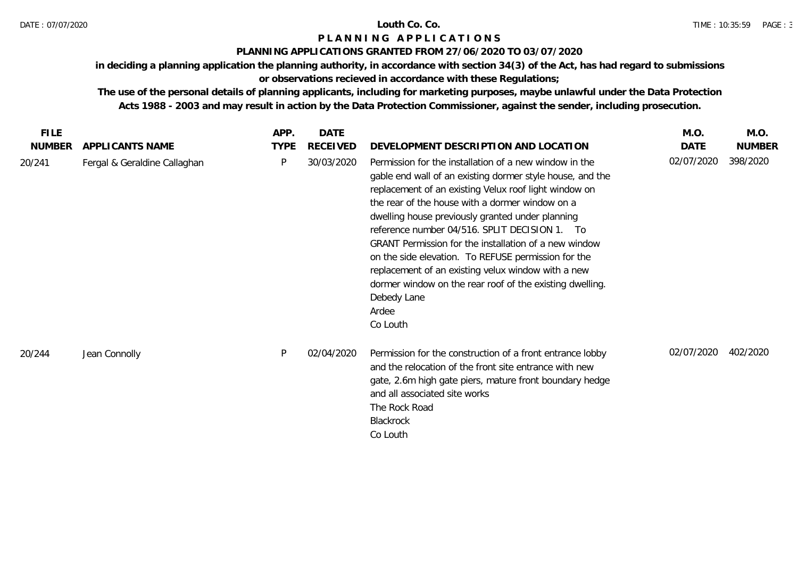### **PLANNING APPLICATIONS GRANTED FROM 27/06/2020 TO 03/07/2020**

**in deciding a planning application the planning authority, in accordance with section 34(3) of the Act, has had regard to submissions** 

# **or observations recieved in accordance with these Regulations;**

| <b>FILE</b>   |                              | APP.        | <b>DATE</b>     |                                                                                                                                                                                                                                                                                                                                                                                                                                                                                                                                                                                                            | M.O.       | M.O.          |
|---------------|------------------------------|-------------|-----------------|------------------------------------------------------------------------------------------------------------------------------------------------------------------------------------------------------------------------------------------------------------------------------------------------------------------------------------------------------------------------------------------------------------------------------------------------------------------------------------------------------------------------------------------------------------------------------------------------------------|------------|---------------|
| <b>NUMBER</b> | APPLICANTS NAME              | <b>TYPE</b> | <b>RECEIVED</b> | DEVELOPMENT DESCRIPTION AND LOCATION                                                                                                                                                                                                                                                                                                                                                                                                                                                                                                                                                                       | DATE       | <b>NUMBER</b> |
| 20/241        | Fergal & Geraldine Callaghan | P           | 30/03/2020      | Permission for the installation of a new window in the<br>gable end wall of an existing dormer style house, and the<br>replacement of an existing Velux roof light window on<br>the rear of the house with a dormer window on a<br>dwelling house previously granted under planning<br>reference number 04/516. SPLIT DECISION 1. To<br>GRANT Permission for the installation of a new window<br>on the side elevation. To REFUSE permission for the<br>replacement of an existing velux window with a new<br>dormer window on the rear roof of the existing dwelling.<br>Debedy Lane<br>Ardee<br>Co Louth | 02/07/2020 | 398/2020      |
| 20/244        | Jean Connolly                | P           | 02/04/2020      | Permission for the construction of a front entrance lobby<br>and the relocation of the front site entrance with new<br>gate, 2.6m high gate piers, mature front boundary hedge<br>and all associated site works<br>The Rock Road<br>Blackrock<br>Co Louth                                                                                                                                                                                                                                                                                                                                                  | 02/07/2020 | 402/2020      |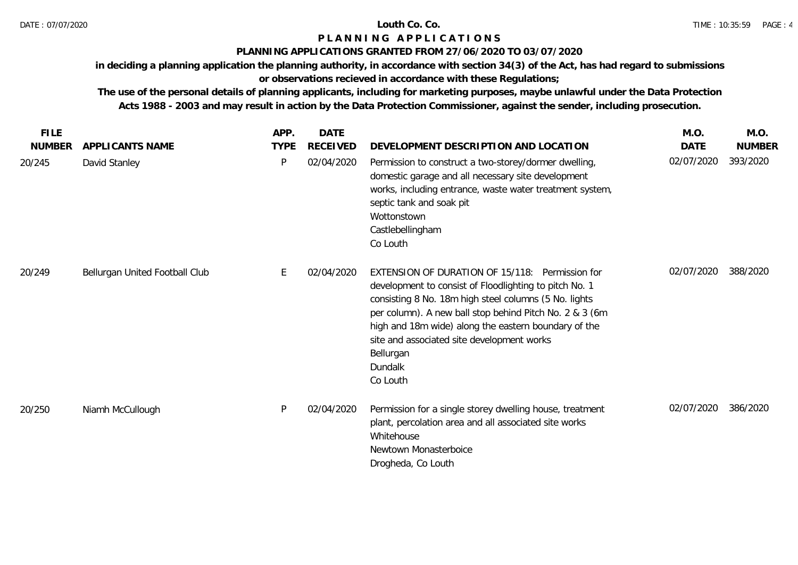### **PLANNING APPLICATIONS GRANTED FROM 27/06/2020 TO 03/07/2020**

**in deciding a planning application the planning authority, in accordance with section 34(3) of the Act, has had regard to submissions** 

# **or observations recieved in accordance with these Regulations;**

| <b>FILE</b>   |                                | APP.        | <b>DATE</b>     |                                                                                                                                                                                                                                                                                                                                                                         | M.O.        | M.O.          |
|---------------|--------------------------------|-------------|-----------------|-------------------------------------------------------------------------------------------------------------------------------------------------------------------------------------------------------------------------------------------------------------------------------------------------------------------------------------------------------------------------|-------------|---------------|
| <b>NUMBER</b> | APPLICANTS NAME                | <b>TYPE</b> | <b>RECEIVED</b> | DEVELOPMENT DESCRIPTION AND LOCATION                                                                                                                                                                                                                                                                                                                                    | <b>DATE</b> | <b>NUMBER</b> |
| 20/245        | David Stanley                  | P           | 02/04/2020      | Permission to construct a two-storey/dormer dwelling,<br>domestic garage and all necessary site development<br>works, including entrance, waste water treatment system,<br>septic tank and soak pit<br>Wottonstown<br>Castlebellingham<br>Co Louth                                                                                                                      | 02/07/2020  | 393/2020      |
| 20/249        | Bellurgan United Football Club |             | 02/04/2020      | EXTENSION OF DURATION OF 15/118: Permission for<br>development to consist of Floodlighting to pitch No. 1<br>consisting 8 No. 18m high steel columns (5 No. lights<br>per column). A new ball stop behind Pitch No. 2 & 3 (6m<br>high and 18m wide) along the eastern boundary of the<br>site and associated site development works<br>Bellurgan<br>Dundalk<br>Co Louth | 02/07/2020  | 388/2020      |
| 20/250        | Niamh McCullough               | P           | 02/04/2020      | Permission for a single storey dwelling house, treatment<br>plant, percolation area and all associated site works<br>Whitehouse<br>Newtown Monasterboice<br>Drogheda, Co Louth                                                                                                                                                                                          | 02/07/2020  | 386/2020      |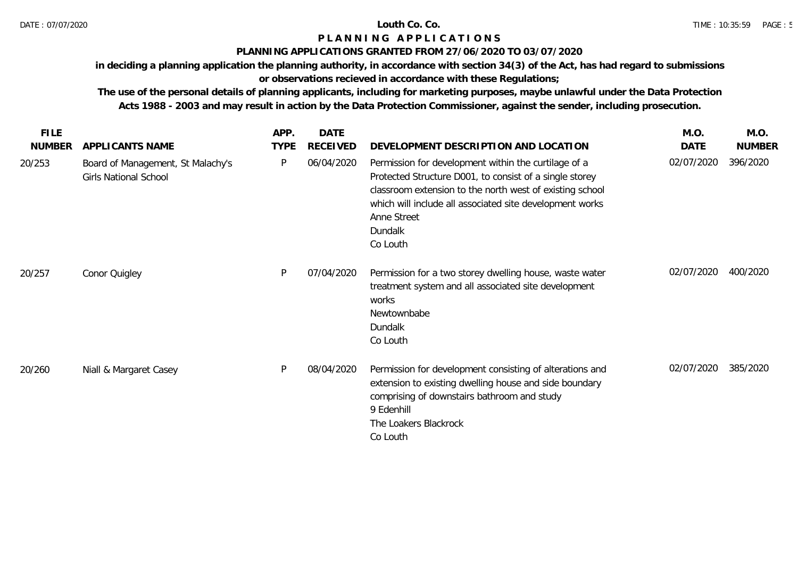### **PLANNING APPLICATIONS GRANTED FROM 27/06/2020 TO 03/07/2020**

**in deciding a planning application the planning authority, in accordance with section 34(3) of the Act, has had regard to submissions** 

# **or observations recieved in accordance with these Regulations;**

| <b>FILE</b>   |                                                            | APP.        | <b>DATE</b>     |                                                                                                                                                                                                                                                                               | M.O.       | M.O.          |
|---------------|------------------------------------------------------------|-------------|-----------------|-------------------------------------------------------------------------------------------------------------------------------------------------------------------------------------------------------------------------------------------------------------------------------|------------|---------------|
| <b>NUMBER</b> | APPLICANTS NAME                                            | <b>TYPE</b> | <b>RECEIVED</b> | DEVELOPMENT DESCRIPTION AND LOCATION                                                                                                                                                                                                                                          | DATE       | <b>NUMBER</b> |
| 20/253        | Board of Management, St Malachy's<br>Girls National School | P           | 06/04/2020      | Permission for development within the curtilage of a<br>Protected Structure D001, to consist of a single storey<br>classroom extension to the north west of existing school<br>which will include all associated site development works<br>Anne Street<br>Dundalk<br>Co Louth | 02/07/2020 | 396/2020      |
| 20/257        | Conor Quigley                                              | P           | 07/04/2020      | Permission for a two storey dwelling house, waste water<br>treatment system and all associated site development<br>works<br>Newtownbabe<br>Dundalk<br>Co Louth                                                                                                                | 02/07/2020 | 400/2020      |
| 20/260        | Niall & Margaret Casey                                     | P           | 08/04/2020      | Permission for development consisting of alterations and<br>extension to existing dwelling house and side boundary<br>comprising of downstairs bathroom and study<br>9 Edenhill<br>The Loakers Blackrock<br>Co Louth                                                          | 02/07/2020 | 385/2020      |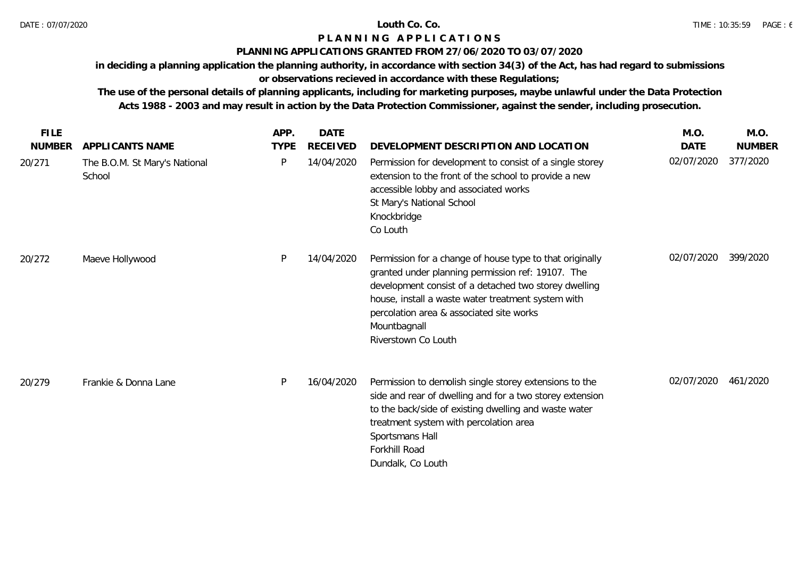### **PLANNING APPLICATIONS GRANTED FROM 27/06/2020 TO 03/07/2020**

**in deciding a planning application the planning authority, in accordance with section 34(3) of the Act, has had regard to submissions** 

# **or observations recieved in accordance with these Regulations;**

| <b>FILE</b>   |                                         | APP.        | <b>DATE</b>     |                                                                                                                                                                                                                                                                                                                 | M.O.        | M.O.          |
|---------------|-----------------------------------------|-------------|-----------------|-----------------------------------------------------------------------------------------------------------------------------------------------------------------------------------------------------------------------------------------------------------------------------------------------------------------|-------------|---------------|
| <b>NUMBER</b> | APPLICANTS NAME                         | <b>TYPE</b> | <b>RECEIVED</b> | DEVELOPMENT DESCRIPTION AND LOCATION                                                                                                                                                                                                                                                                            | <b>DATE</b> | <b>NUMBER</b> |
| 20/271        | The B.O.M. St Mary's National<br>School | P           | 14/04/2020      | Permission for development to consist of a single storey<br>extension to the front of the school to provide a new<br>accessible lobby and associated works<br>St Mary's National School<br>Knockbridge<br>Co Louth                                                                                              | 02/07/2020  | 377/2020      |
| 20/272        | Maeve Hollywood                         | P           | 14/04/2020      | Permission for a change of house type to that originally<br>granted under planning permission ref: 19107. The<br>development consist of a detached two storey dwelling<br>house, install a waste water treatment system with<br>percolation area & associated site works<br>Mountbagnall<br>Riverstown Co Louth | 02/07/2020  | 399/2020      |
| 20/279        | Frankie & Donna Lane                    | P           | 16/04/2020      | Permission to demolish single storey extensions to the<br>side and rear of dwelling and for a two storey extension<br>to the back/side of existing dwelling and waste water<br>treatment system with percolation area<br>Sportsmans Hall<br>Forkhill Road<br>Dundalk, Co Louth                                  | 02/07/2020  | 461/2020      |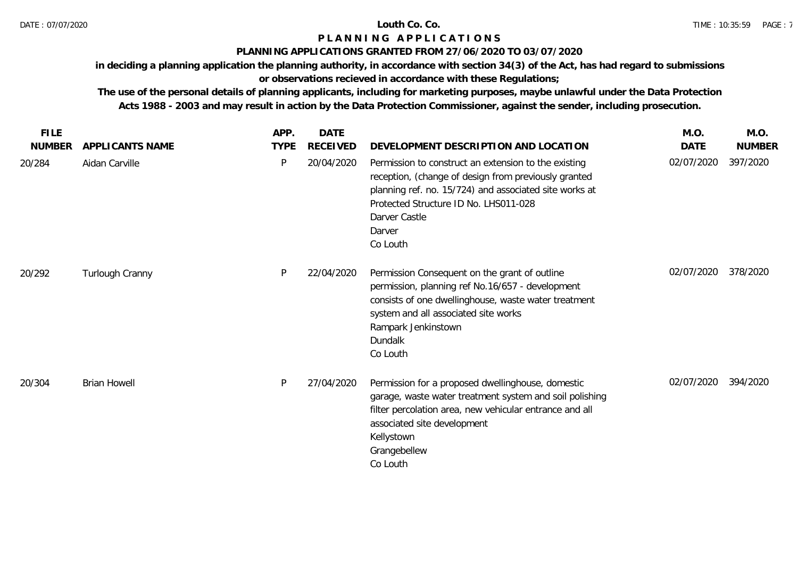## **PLANNING APPLICATIONS GRANTED FROM 27/06/2020 TO 03/07/2020**

**in deciding a planning application the planning authority, in accordance with section 34(3) of the Act, has had regard to submissions** 

# **or observations recieved in accordance with these Regulations;**

| <b>FILE</b>   |                     | APP.        | <b>DATE</b>     |                                                                                                                                                                                                                                                        | M.O.       | M.O.          |
|---------------|---------------------|-------------|-----------------|--------------------------------------------------------------------------------------------------------------------------------------------------------------------------------------------------------------------------------------------------------|------------|---------------|
| <b>NUMBER</b> | APPLICANTS NAME     | <b>TYPE</b> | <b>RECEIVED</b> | DEVELOPMENT DESCRIPTION AND LOCATION                                                                                                                                                                                                                   | DATE       | <b>NUMBER</b> |
| 20/284        | Aidan Carville      | P           | 20/04/2020      | Permission to construct an extension to the existing<br>reception, (change of design from previously granted<br>planning ref. no. 15/724) and associated site works at<br>Protected Structure ID No. LHS011-028<br>Darver Castle<br>Darver<br>Co Louth | 02/07/2020 | 397/2020      |
| 20/292        | Turlough Cranny     | P           | 22/04/2020      | Permission Consequent on the grant of outline<br>permission, planning ref No.16/657 - development<br>consists of one dwellinghouse, waste water treatment<br>system and all associated site works<br>Rampark Jenkinstown<br>Dundalk<br>Co Louth        | 02/07/2020 | 378/2020      |
| 20/304        | <b>Brian Howell</b> | P           | 27/04/2020      | Permission for a proposed dwellinghouse, domestic<br>garage, waste water treatment system and soil polishing<br>filter percolation area, new vehicular entrance and all<br>associated site development<br>Kellystown<br>Grangebellew<br>Co Louth       | 02/07/2020 | 394/2020      |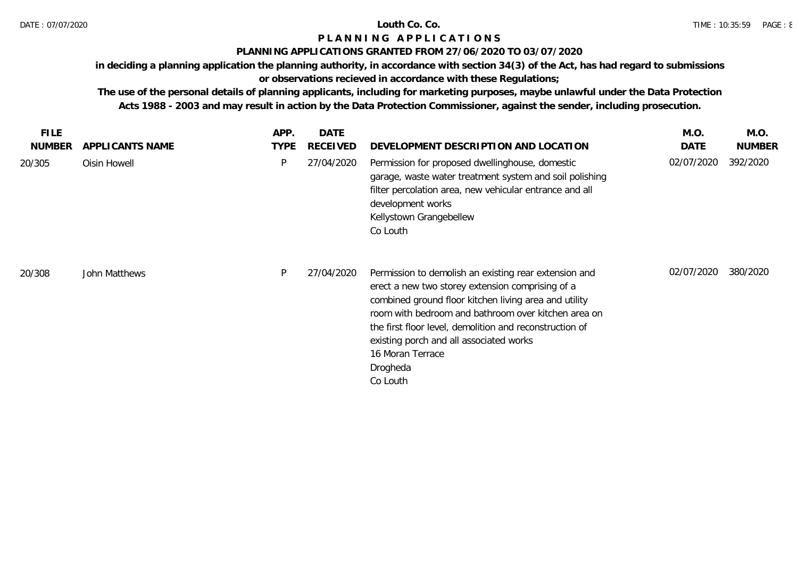### **PLANNING APPLICATIONS GRANTED FROM 27/06/2020 TO 03/07/2020**

**in deciding a planning application the planning authority, in accordance with section 34(3) of the Act, has had regard to submissions** 

# **or observations recieved in accordance with these Regulations;**

| <b>FILE</b><br><b>NUMBER</b> | APPLICANTS NAME | APP.<br><b>TYPE</b> | <b>DATE</b><br><b>RECEIVED</b> | DEVELOPMENT DESCRIPTION AND LOCATION                                                                                                                                                                                                                                                                                                                                        | M.O.<br>DATE | M.O.<br><b>NUMBER</b> |
|------------------------------|-----------------|---------------------|--------------------------------|-----------------------------------------------------------------------------------------------------------------------------------------------------------------------------------------------------------------------------------------------------------------------------------------------------------------------------------------------------------------------------|--------------|-----------------------|
| 20/305                       | Oisin Howell    | P                   | 27/04/2020                     | Permission for proposed dwellinghouse, domestic<br>garage, waste water treatment system and soil polishing<br>filter percolation area, new vehicular entrance and all<br>development works<br>Kellystown Grangebellew<br>Co Louth                                                                                                                                           | 02/07/2020   | 392/2020              |
| 20/308                       | John Matthews   | P                   | 27/04/2020                     | Permission to demolish an existing rear extension and<br>erect a new two storey extension comprising of a<br>combined ground floor kitchen living area and utility<br>room with bedroom and bathroom over kitchen area on<br>the first floor level, demolition and reconstruction of<br>existing porch and all associated works<br>16 Moran Terrace<br>Drogheda<br>Co Louth | 02/07/2020   | 380/2020              |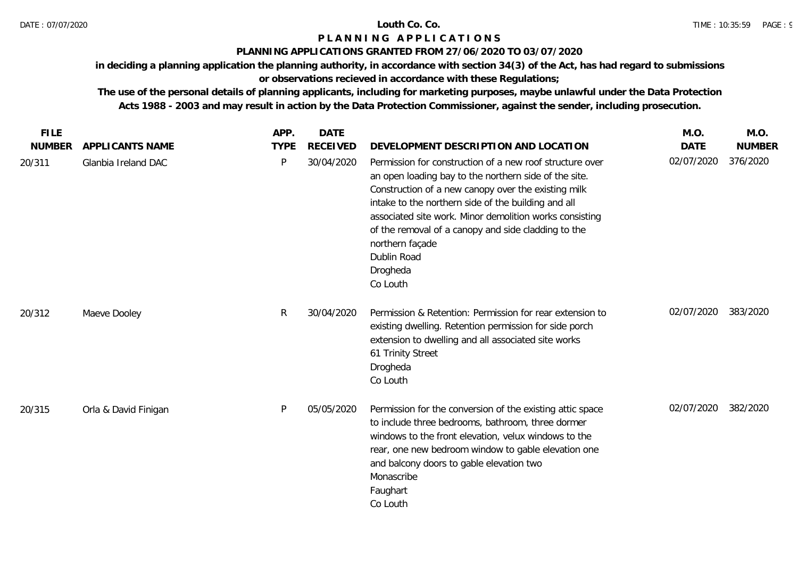### **PLANNING APPLICATIONS GRANTED FROM 27/06/2020 TO 03/07/2020**

**in deciding a planning application the planning authority, in accordance with section 34(3) of the Act, has had regard to submissions** 

# **or observations recieved in accordance with these Regulations;**

| <b>FILE</b>   |                      | APP.        | <b>DATE</b>     |                                                                                                                                                                                                                                                                                                                                                                                                             | M.O.        | M.O.          |
|---------------|----------------------|-------------|-----------------|-------------------------------------------------------------------------------------------------------------------------------------------------------------------------------------------------------------------------------------------------------------------------------------------------------------------------------------------------------------------------------------------------------------|-------------|---------------|
| <b>NUMBER</b> | APPLICANTS NAME      | <b>TYPE</b> | <b>RECEIVED</b> | DEVELOPMENT DESCRIPTION AND LOCATION                                                                                                                                                                                                                                                                                                                                                                        | <b>DATE</b> | <b>NUMBER</b> |
| 20/311        | Glanbia Ireland DAC  | P           | 30/04/2020      | Permission for construction of a new roof structure over<br>an open loading bay to the northern side of the site.<br>Construction of a new canopy over the existing milk<br>intake to the northern side of the building and all<br>associated site work. Minor demolition works consisting<br>of the removal of a canopy and side cladding to the<br>northern façade<br>Dublin Road<br>Drogheda<br>Co Louth | 02/07/2020  | 376/2020      |
| 20/312        | Maeve Dooley         | R           | 30/04/2020      | Permission & Retention: Permission for rear extension to<br>existing dwelling. Retention permission for side porch<br>extension to dwelling and all associated site works<br>61 Trinity Street<br>Drogheda<br>Co Louth                                                                                                                                                                                      | 02/07/2020  | 383/2020      |
| 20/315        | Orla & David Finigan | P           | 05/05/2020      | Permission for the conversion of the existing attic space<br>to include three bedrooms, bathroom, three dormer<br>windows to the front elevation, velux windows to the<br>rear, one new bedroom window to gable elevation one<br>and balcony doors to gable elevation two<br>Monascribe<br>Faughart<br>Co Louth                                                                                             | 02/07/2020  | 382/2020      |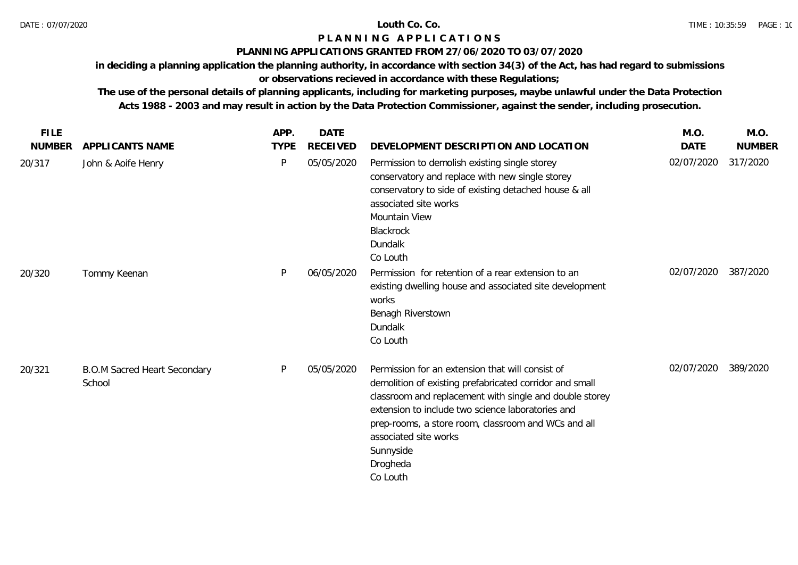### **PLANNING APPLICATIONS GRANTED FROM 27/06/2020 TO 03/07/2020**

**in deciding a planning application the planning authority, in accordance with section 34(3) of the Act, has had regard to submissions** 

## **or observations recieved in accordance with these Regulations;**

| <b>FILE</b>   |                                               | APP.        | <b>DATE</b>     |                                                                                                                                                                                                                                                                                                                                                  | M.O.        | M.O.          |
|---------------|-----------------------------------------------|-------------|-----------------|--------------------------------------------------------------------------------------------------------------------------------------------------------------------------------------------------------------------------------------------------------------------------------------------------------------------------------------------------|-------------|---------------|
| <b>NUMBER</b> | APPLICANTS NAME                               | <b>TYPE</b> | <b>RECEIVED</b> | DEVELOPMENT DESCRIPTION AND LOCATION                                                                                                                                                                                                                                                                                                             | <b>DATE</b> | <b>NUMBER</b> |
| 20/317        | John & Aoife Henry                            | P           | 05/05/2020      | Permission to demolish existing single storey<br>conservatory and replace with new single storey<br>conservatory to side of existing detached house & all<br>associated site works<br>Mountain View<br>Blackrock<br>Dundalk<br>Co Louth                                                                                                          | 02/07/2020  | 317/2020      |
| 20/320        | Tommy Keenan                                  | P           | 06/05/2020      | Permission for retention of a rear extension to an<br>existing dwelling house and associated site development<br>works<br>Benagh Riverstown<br>Dundalk<br>Co Louth                                                                                                                                                                               | 02/07/2020  | 387/2020      |
| 20/321        | <b>B.O.M Sacred Heart Secondary</b><br>School | P           | 05/05/2020      | Permission for an extension that will consist of<br>demolition of existing prefabricated corridor and small<br>classroom and replacement with single and double storey<br>extension to include two science laboratories and<br>prep-rooms, a store room, classroom and WCs and all<br>associated site works<br>Sunnyside<br>Drogheda<br>Co Louth | 02/07/2020  | 389/2020      |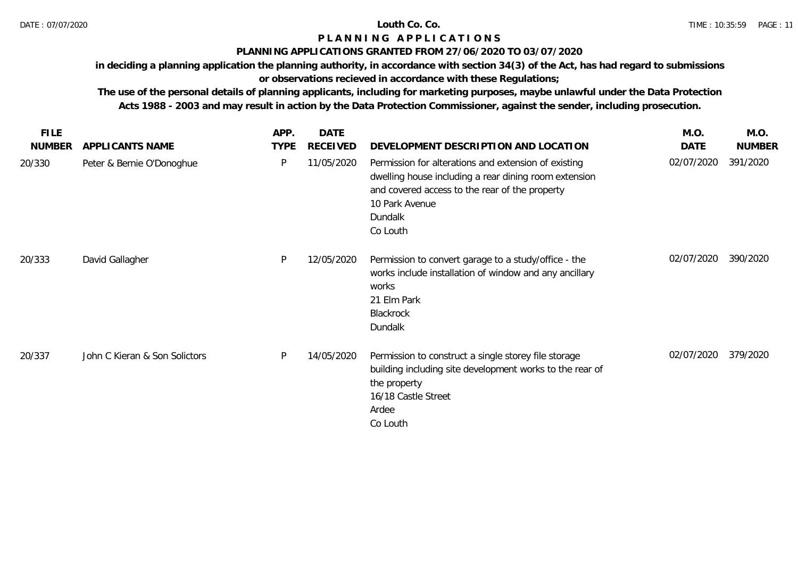### **PLANNING APPLICATIONS GRANTED FROM 27/06/2020 TO 03/07/2020**

**in deciding a planning application the planning authority, in accordance with section 34(3) of the Act, has had regard to submissions** 

# **or observations recieved in accordance with these Regulations;**

| <b>FILE</b>   |                               | APP.        | <b>DATE</b>     |                                                                                                                                                                                                          | M.O.       | M.O.          |
|---------------|-------------------------------|-------------|-----------------|----------------------------------------------------------------------------------------------------------------------------------------------------------------------------------------------------------|------------|---------------|
| <b>NUMBER</b> | APPLICANTS NAME               | <b>TYPE</b> | <b>RECEIVED</b> | DEVELOPMENT DESCRIPTION AND LOCATION                                                                                                                                                                     | DATE       | <b>NUMBER</b> |
| 20/330        | Peter & Bernie O'Donoghue     | P           | 11/05/2020      | Permission for alterations and extension of existing<br>dwelling house including a rear dining room extension<br>and covered access to the rear of the property<br>10 Park Avenue<br>Dundalk<br>Co Louth | 02/07/2020 | 391/2020      |
| 20/333        | David Gallagher               | P           | 12/05/2020      | Permission to convert garage to a study/office - the<br>works include installation of window and any ancillary<br>works<br>21 Elm Park<br>Blackrock<br>Dundalk                                           | 02/07/2020 | 390/2020      |
| 20/337        | John C Kieran & Son Solictors | P           | 14/05/2020      | Permission to construct a single storey file storage<br>building including site development works to the rear of<br>the property<br>16/18 Castle Street<br>Ardee<br>Co Louth                             | 02/07/2020 | 379/2020      |